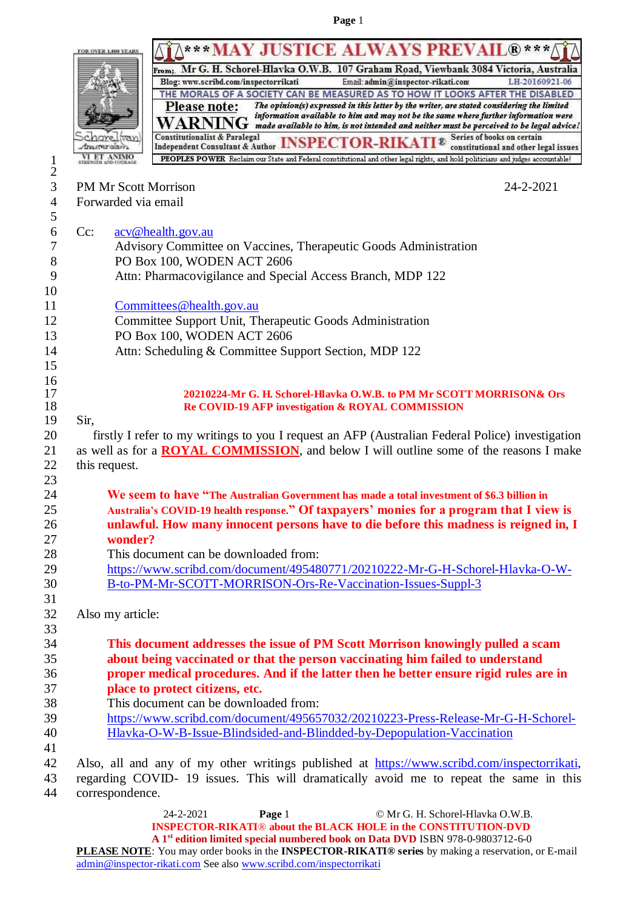|                   |                                      | ***MAY JUSTICE ALWAYS PREVAIL®***/                                                                                                                                                                                                                                                                       |
|-------------------|--------------------------------------|----------------------------------------------------------------------------------------------------------------------------------------------------------------------------------------------------------------------------------------------------------------------------------------------------------|
|                   |                                      | From: Mr G. H. Schorel-Hlavka O.W.B. 107 Graham Road, Viewbank 3084 Victoria, Australia                                                                                                                                                                                                                  |
|                   |                                      | Blog: www.scribd.com/inspectorrikati<br>LH-20160921-06<br>Email: admin@inspector-rikati.com                                                                                                                                                                                                              |
|                   |                                      | THE MORALS OF A SOCIETY CAN BE MEASURED AS TO HOW IT LOOKS AFTER THE DISABLED                                                                                                                                                                                                                            |
|                   |                                      | The opinion(s) expressed in this letter by the writer, are stated considering the limited<br><b>Please note:</b><br>information available to him and may not be the same where further information were<br>G<br>made available to him, is not intended and neither must be perceived to be legal advice! |
|                   |                                      | Series of books on certain<br>Independent Consultant & Author INSPECTOR-RIKAT<br>$\mathbb{R}$                                                                                                                                                                                                            |
|                   | <b>DAUTRY OLD</b><br><b>ET ANIMO</b> | constitutional and other legal issues<br>PEOPLES POWER Reclaim our State and Federal constitutional and other legal rights, and hold politicians and judges accountable!                                                                                                                                 |
| $\mathbf{I}$<br>2 |                                      |                                                                                                                                                                                                                                                                                                          |
| 3                 | PM Mr Scott Morrison                 | 24-2-2021                                                                                                                                                                                                                                                                                                |
| 4                 | Forwarded via email                  |                                                                                                                                                                                                                                                                                                          |
| 5                 |                                      |                                                                                                                                                                                                                                                                                                          |
| 6                 | $Cc$ :                               | acv@health.gov.au                                                                                                                                                                                                                                                                                        |
| 7                 |                                      | Advisory Committee on Vaccines, Therapeutic Goods Administration                                                                                                                                                                                                                                         |
| $8\,$             |                                      | PO Box 100, WODEN ACT 2606                                                                                                                                                                                                                                                                               |
| 9                 |                                      | Attn: Pharmacovigilance and Special Access Branch, MDP 122                                                                                                                                                                                                                                               |
| 10                |                                      |                                                                                                                                                                                                                                                                                                          |
| 11                |                                      | Committees@health.gov.au                                                                                                                                                                                                                                                                                 |
| 12                |                                      | Committee Support Unit, Therapeutic Goods Administration                                                                                                                                                                                                                                                 |
| 13                |                                      | PO Box 100, WODEN ACT 2606                                                                                                                                                                                                                                                                               |
| 14                |                                      | Attn: Scheduling & Committee Support Section, MDP 122                                                                                                                                                                                                                                                    |
| 15                |                                      |                                                                                                                                                                                                                                                                                                          |
| 16                |                                      |                                                                                                                                                                                                                                                                                                          |
| 17                |                                      | 20210224-Mr G. H. Schorel-Hlavka O.W.B. to PM Mr SCOTT MORRISON& Ors                                                                                                                                                                                                                                     |
| 18                |                                      | Re COVID-19 AFP investigation & ROYAL COMMISSION                                                                                                                                                                                                                                                         |
| 19                | Sir,                                 |                                                                                                                                                                                                                                                                                                          |
| 20                |                                      | firstly I refer to my writings to you I request an AFP (Australian Federal Police) investigation                                                                                                                                                                                                         |
| 21                |                                      | as well as for a <b>ROYAL COMMISSION</b> , and below I will outline some of the reasons I make                                                                                                                                                                                                           |
| 22                | this request.                        |                                                                                                                                                                                                                                                                                                          |
| 23                |                                      | We seem to have "The Australian Government has made a total investment of \$6.3 billion in                                                                                                                                                                                                               |
| 24<br>25          |                                      |                                                                                                                                                                                                                                                                                                          |
| 26                |                                      | Australia's COVID-19 health response." Of taxpayers' monies for a program that I view is<br>unlawful. How many innocent persons have to die before this madness is reigned in, I                                                                                                                         |
| 27                | wonder?                              |                                                                                                                                                                                                                                                                                                          |
| 28                |                                      | This document can be downloaded from:                                                                                                                                                                                                                                                                    |
| 29                |                                      | https://www.scribd.com/document/495480771/20210222-Mr-G-H-Schorel-Hlavka-O-W-                                                                                                                                                                                                                            |
| 30                |                                      | B-to-PM-Mr-SCOTT-MORRISON-Ors-Re-Vaccination-Issues-Suppl-3                                                                                                                                                                                                                                              |
| 31                |                                      |                                                                                                                                                                                                                                                                                                          |
| 32                | Also my article:                     |                                                                                                                                                                                                                                                                                                          |
| 33                |                                      |                                                                                                                                                                                                                                                                                                          |
| 34                |                                      | This document addresses the issue of PM Scott Morrison knowingly pulled a scam                                                                                                                                                                                                                           |
| 35                |                                      | about being vaccinated or that the person vaccinating him failed to understand                                                                                                                                                                                                                           |
| 36                |                                      | proper medical procedures. And if the latter then he better ensure rigid rules are in                                                                                                                                                                                                                    |
| 37                |                                      | place to protect citizens, etc.                                                                                                                                                                                                                                                                          |
| 38                |                                      | This document can be downloaded from:                                                                                                                                                                                                                                                                    |
| 39                |                                      | https://www.scribd.com/document/495657032/20210223-Press-Release-Mr-G-H-Schorel-                                                                                                                                                                                                                         |
| 40                |                                      | Hlavka-O-W-B-Issue-Blindsided-and-Blindded-by-Depopulation-Vaccination                                                                                                                                                                                                                                   |
| 41                |                                      |                                                                                                                                                                                                                                                                                                          |
| 42                |                                      | Also, all and any of my other writings published at https://www.scribd.com/inspectorrikati,                                                                                                                                                                                                              |
| 43                |                                      | regarding COVID- 19 issues. This will dramatically avoid me to repeat the same in this                                                                                                                                                                                                                   |
| 44                | correspondence.                      |                                                                                                                                                                                                                                                                                                          |
|                   |                                      | 24-2-2021<br>Page 1<br>© Mr G. H. Schorel-Hlavka O.W.B.                                                                                                                                                                                                                                                  |
|                   |                                      | <b>INSPECTOR-RIKATI®</b> about the BLACK HOLE in the CONSTITUTION-DVD                                                                                                                                                                                                                                    |

**A 1st edition limited special numbered book on Data DVD** ISBN 978-0-9803712-6-0

**PLEASE NOTE**: You may order books in the **INSPECTOR-RIKATI® series** by making a reservation, or E-mail [admin@inspector-rikati.com](mailto:admin@inspector-rikati.com) See also [www.scribd.com/inspectorrikati](http://www.scribd.com/inspectorrikati)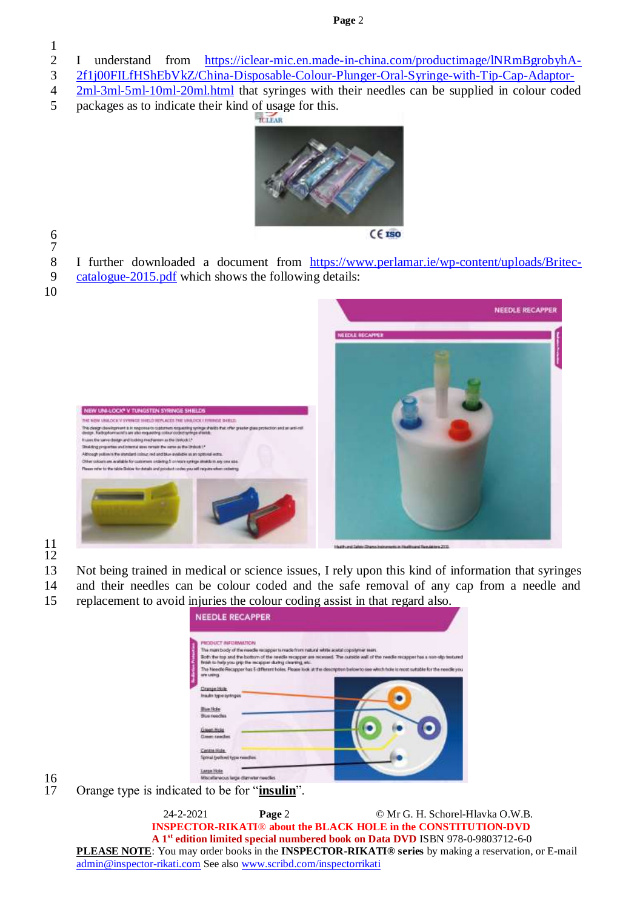- I understand from [https://iclear-mic.en.made-in-china.com/productimage/lNRmBgrobyhA-](https://iclear-mic.en.made-in-china.com/productimage/lNRmBgrobyhA-2f1j00FILfHShEbVkZ/China-Disposable-Colour-Plunger-Oral-Syringe-with-Tip-Cap-Adaptor-2ml-3ml-5ml-10ml-20ml.html)
- [2f1j00FILfHShEbVkZ/China-Disposable-Colour-Plunger-Oral-Syringe-with-Tip-Cap-Adaptor-](https://iclear-mic.en.made-in-china.com/productimage/lNRmBgrobyhA-2f1j00FILfHShEbVkZ/China-Disposable-Colour-Plunger-Oral-Syringe-with-Tip-Cap-Adaptor-2ml-3ml-5ml-10ml-20ml.html)
- [2ml-3ml-5ml-10ml-20ml.html](https://iclear-mic.en.made-in-china.com/productimage/lNRmBgrobyhA-2f1j00FILfHShEbVkZ/China-Disposable-Colour-Plunger-Oral-Syringe-with-Tip-Cap-Adaptor-2ml-3ml-5ml-10ml-20ml.html) that syringes with their needles can be supplied in colour coded
- packages as to indicate their kind of usage for this.



- 
- I further downloaded a document from [https://www.perlamar.ie/wp-content/uploads/Britec-](https://www.perlamar.ie/wp-content/uploads/Britec-catalogue-2015.pdf)
- [catalogue-2015.pdf](https://www.perlamar.ie/wp-content/uploads/Britec-catalogue-2015.pdf) which shows the following details:
- 



  Other is

- 
- Not being trained in medical or science issues, I rely upon this kind of information that syringes
- and their needles can be colour coded and the safe removal of any cap from a needle and
- replacement to avoid injuries the colour coding assist in that regard also.

| The man body of the media recopper to made from natural white acetal copolymer sears.                                                 |
|---------------------------------------------------------------------------------------------------------------------------------------|
| Both the top and the bottom of the needle recapper are recessed. The cutride wall of the needle recapper has a non-sign textured      |
| finish to help you grip the recapper during clearing, etc.                                                                            |
| The Needle Recupper has 5 different boles. Please look at the description below to use which hole is most suitable for the needle you |
|                                                                                                                                       |
|                                                                                                                                       |
|                                                                                                                                       |
|                                                                                                                                       |
|                                                                                                                                       |
|                                                                                                                                       |
|                                                                                                                                       |
|                                                                                                                                       |
|                                                                                                                                       |
|                                                                                                                                       |
|                                                                                                                                       |
|                                                                                                                                       |
|                                                                                                                                       |
|                                                                                                                                       |
|                                                                                                                                       |
|                                                                                                                                       |

 $\frac{16}{17}$ 

Orange type is indicated to be for "*insulin*".

24-2-2021 **Page** 2 © Mr G. H. Schorel-Hlavka O.W.B.  **INSPECTOR-RIKATI**® **about the BLACK HOLE in the CONSTITUTION-DVD A 1st edition limited special numbered book on Data DVD** ISBN 978-0-9803712-6-0 **PLEASE NOTE**: You may order books in the **INSPECTOR-RIKATI® series** by making a reservation, or E-mail [admin@inspector-rikati.com](mailto:admin@inspector-rikati.com) See also [www.scribd.com/inspectorrikati](http://www.scribd.com/inspectorrikati)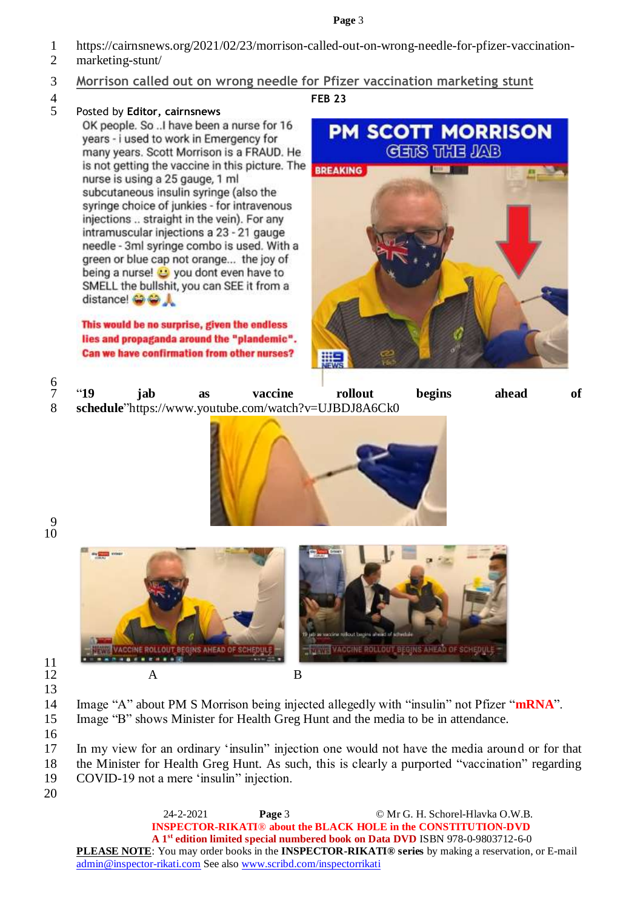- 1 [https://cairnsnews.org/2021/02/23/morrison-called-out-on-wrong-needle-for-pfizer-vaccination-](https://cairnsnews.org/2021/02/23/morrison-called-out-on-wrong-needle-for-pfizer-vaccination-marketing-stunt/)
- 2 [marketing-stunt/](https://cairnsnews.org/2021/02/23/morrison-called-out-on-wrong-needle-for-pfizer-vaccination-marketing-stunt/)
- 3 **Morrison called out on wrong needle for Pfizer vaccination marketing stunt**
- 

# 4 **[FEB](https://cairnsnews.org/2021/02/23/morrison-called-out-on-wrong-needle-for-pfizer-vaccination-marketing-stunt/) 23** 5 Posted by **Editor, [cairnsnews](https://cairnsnews.org/author/cairnsnews/)**

OK people. So ... I have been a nurse for 16 vears - i used to work in Emergency for many years. Scott Morrison is a FRAUD. He is not getting the vaccine in this picture. The nurse is using a 25 gauge, 1 ml subcutaneous insulin syringe (also the syringe choice of junkies - for intravenous injections .. straight in the vein). For any intramuscular injections a 23 - 21 gauge needle - 3ml syringe combo is used. With a green or blue cap not orange... the joy of being a nurse! **U** you dont even have to SMELL the bullshit, you can SEE it from a distance! @ @ \_

This would be no surprise, given the endless lies and propaganda around the "plandemic". Can we have confirmation from other nurses?



| <b>"19</b>                                           | iab | as | vaccine | rollout | begins | ahead | of |
|------------------------------------------------------|-----|----|---------|---------|--------|-------|----|
| schedule"https://www.youtube.com/watch?v=UJBDJ8A6Ck0 |     |    |         |         |        |       |    |



9 10



 $\frac{11}{12}$ 13

14 Image "A" about PM S Morrison being injected allegedly with "insulin" not Pfizer "**mRNA**". 15 Image "B" shows Minister for Health Greg Hunt and the media to be in attendance.

16

20

17 In my view for an ordinary 'insulin" injection one would not have the media around or for that 18 the Minister for Health Greg Hunt. As such, this is clearly a purported "vaccination" regarding 19 COVID-19 not a mere 'insulin" injection.

24-2-2021 **Page** 3 © Mr G. H. Schorel-Hlavka O.W.B.  **INSPECTOR-RIKATI**® **about the BLACK HOLE in the CONSTITUTION-DVD A 1st edition limited special numbered book on Data DVD** ISBN 978-0-9803712-6-0 **PLEASE NOTE**: You may order books in the **INSPECTOR-RIKATI® series** by making a reservation, or E-mail [admin@inspector-rikati.com](mailto:admin@inspector-rikati.com) See also [www.scribd.com/inspectorrikati](http://www.scribd.com/inspectorrikati)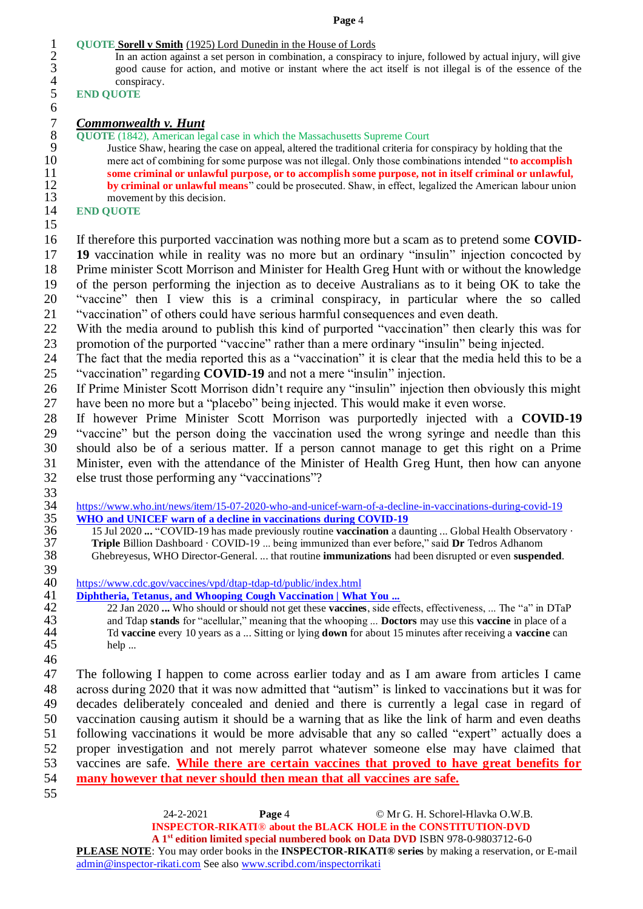# 1 **QUOTE Sorell v Smith** (1925) Lord Dunedin in the House of Lords<br>2 In an action against a set person in combination, a conspirac

2 In an action against a set person in combination, a conspiracy to injure, followed by actual injury, will give good cause for action, and motive or instant where the act itself is not illegal is of the essence of the good cause for action, and motive or instant where the act itself is not illegal is of the essence of the

## 4 conspiracy.<br>5 END QUOTE **END QUOTE**

# *Commonwealth v. Hunt*

8 **QUOTE** (1842), American legal case in which the Massachusetts Supreme Court<br>9 **Justice Shaw, hearing the case on appeal, altered the traditional criteria for** 

9 Justice Shaw, hearing the case on appeal, altered the traditional criteria for conspiracy by holding that the mere act of combining for some purpose was not illegal. Only those combinations intended "to accomplis 10 mere act of combining for some purpose was not illegal. Only those combinations intended "**to accomplish**<br>11 some criminal or unlawful purpose, or to accomplish some purpose, not in itself criminal or unlawful. 11 **some criminal or unlawful purpose, or to accomplish some purpose, not in itself criminal or unlawful,**<br>
12 **by criminal or unlawful means**" could be prosecuted. Shaw, in effect, legalized the American labour union **by criminal or unlawful means**" could be prosecuted. Shaw, in effect, legalized the American labour union movement by this decision. 13 movement by this decision.<br>14 END OUOTE

# **END QUOTE**

If therefore this purported vaccination was nothing more but a scam as to pretend some **COVID-**

 **19** vaccination while in reality was no more but an ordinary "insulin" injection concocted by Prime minister Scott Morrison and Minister for Health Greg Hunt with or without the knowledge of the person performing the injection as to deceive Australians as to it being OK to take the "vaccine" then I view this is a criminal conspiracy, in particular where the so called "vaccination" of others could have serious harmful consequences and even death.

 With the media around to publish this kind of purported "vaccination" then clearly this was for promotion of the purported "vaccine" rather than a mere ordinary "insulin" being injected.

 The fact that the media reported this as a "vaccination" it is clear that the media held this to be a "vaccination" regarding **COVID-19** and not a mere "insulin" injection.

 If Prime Minister Scott Morrison didn't require any "insulin" injection then obviously this might have been no more but a "placebo" being injected. This would make it even worse.

 If however Prime Minister Scott Morrison was purportedly injected with a **COVID-19** "vaccine" but the person doing the vaccination used the wrong syringe and needle than this should also be of a serious matter. If a person cannot manage to get this right on a Prime Minister, even with the attendance of the Minister of Health Greg Hunt, then how can anyone else trust those performing any "vaccinations"?

 $\frac{33}{34}$ 

34 https://www.who.int/news/item/15-07-2020-who-and-unicef-warn-of-a-decline-in-vaccinations-during-covid-19<br>35 WHO and UNICEF warn of a decline in vaccinations during COVID-19 **35 [WHO and UNICEF warn of a decline in vaccinations during COVID-19](https://www.who.int/news/item/15-07-2020-who-and-unicef-warn-of-a-decline-in-vaccinations-during-covid-19)**<br>36 **15 Jul 2020 ... "COVID-19** has made previously routine **vaccination** a da

- 15 Jul 2020 **...** "COVID-19 has made previously routine **vaccination** a daunting ... Global Health Observatory · **Triple** Billion Dashboard · COVID-19 ... being immunized than ever before," said Dr Tedros Adhanom<br>38 Ghebreyesus, WHO Director-General. ... that routine **immunizations** had been disrupted or even **suspen** Ghebreyesus, WHO Director-General. ... that routine **immunizations** had been disrupted or even **suspended**.
- 

 https://www.cdc.gov/vaccines/vpd/dtap-tdap-td/public/index.html

41 **[Diphtheria, Tetanus, and Whooping Cough Vaccination | What You ...](https://www.cdc.gov/vaccines/vpd/dtap-tdap-td/public/index.html)**<br>42 **Diphtheria, Tetanus, and Whooping Cough Vaccination | What You ...**<br>42 **Diphrimes** 22 Jan 2020 **...** Who should or should not get these **vaccines** 22 Jan 2020 **...** Who should or should not get these **vaccines**, side effects, effectiveness, ... The "a" in DTaP and Tdap **stands** for "acellular," meaning that the whooping ... **Doctors** may use this **vaccine** in place o

 and Tdap **stands** for "acellular," meaning that the whooping ... **Doctors** may use this **vaccine** in place of a Td **vaccine** every 10 years as a ... Sitting or lying **down** for about 15 minutes after receiving a **vaccine** can help ... 

 The following I happen to come across earlier today and as I am aware from articles I came across during 2020 that it was now admitted that "autism" is linked to vaccinations but it was for decades deliberately concealed and denied and there is currently a legal case in regard of vaccination causing autism it should be a warning that as like the link of harm and even deaths following vaccinations it would be more advisable that any so called "expert" actually does a proper investigation and not merely parrot whatever someone else may have claimed that vaccines are safe. **While there are certain vaccines that proved to have great benefits for many however that never should then mean that all vaccines are safe.**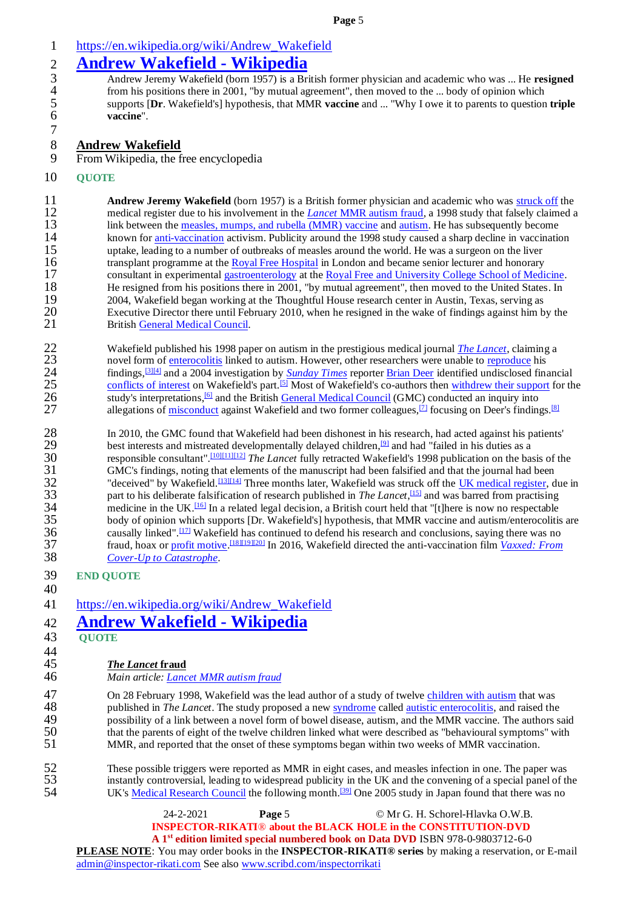# 1 [https://en.wikipedia.org/wiki/Andrew\\_Wakefield](https://en.wikipedia.org/wiki/Andrew_Wakefield)

2 **[Andrew Wakefield -](https://en.wikipedia.org/wiki/Andrew_Wakefield) Wikipedia**<br>3 Andrew Jeremy Wakefield (born 1957) is a Br<br>4 from his positions there in 2001. "by mutual as 3 Andrew Jeremy Wakefield (born 1957) is a British former physician and academic who was ... He **resigned** 4 from his positions there in 2001, "by mutual agreement", then moved to the ... body of opinion which supports [Dr. Wakefield's] hypothesis, that MMR vaccine and ... "Why I owe it to parents to question vaccine". 5 supports [**Dr**. Wakefield's] hypothesis, that MMR **vaccine** and ... "Why I owe it to parents to question **triple** vaccine".

# 8 **Andrew Wakefield**

9 From Wikipedia, the free encyclopedia

# 10 **QUOTE**

7

**11 Andrew Jeremy Wakefield** (born 1957) is a British former physician and academic who was [struck off](https://en.wikipedia.org/wiki/Struck_off) the needical register due to his involvement in the *Lancet* MMR autism fraud, a 1998 study that falsely claimed a 12 medical register due to his involvement in the *Lancet* [MMR autism fraud,](https://en.wikipedia.org/wiki/Lancet_MMR_autism_fraud) a 1998 study that falsely claimed a<br>13 link between the measles, mumps, and rubella (MMR) vaccine and autism. He has subsequently become 13 link between the <u>measles, mumps, and rubella (MMR) vaccine</u> and <u>autism</u>. He has subsequently become 14 known for anti-vaccination activism. Publicity around the 1998 study caused a sharp decline in vaccination 14 known for <u>anti-vaccination</u> activism. Publicity around the 1998 study caused a sharp decline in vaccination uptake, leading to a number of outbreaks of measles around the world. He was a surgeon on the liver 15 uptake, leading to a number of outbreaks of measles around the world. He was a surgeon on the liver<br>16 transplant programme at the Royal Free Hospital in London and became senior lecturer and honorary 16 transplant programme at the <u>Royal Free Hospital</u> in London and became senior lecturer and honorary<br>17 consultant in experimental gastroenterology at the Royal Free and University College School of Medi consultant in experimental [gastroenterology](https://en.wikipedia.org/wiki/Gastroenterology) at the [Royal Free and University College School of Medicine.](https://en.wikipedia.org/wiki/UCL_Medical_School) 18 He resigned from his positions there in 2001, "by mutual agreement", then moved to the United States. In 19 2004, Wakefield began working at the Thoughtful House research center in Austin, Texas, serving as 20<br>20 Executive Director there until February 2010, when he resigned in the wake of findings against him b 20 Executive Director there until February 2010, when he resigned in the wake of findings against him by the 21 British General Medical Council. British [General Medical Council.](https://en.wikipedia.org/wiki/General_Medical_Council)

22 Wakefield published his 1998 paper on autism in the prestigious medical journal *[The Lancet](https://en.wikipedia.org/wiki/The_Lancet)*, claiming a<br>23 novel form of enterocolitis linked to autism. However, other researchers were unable to reproduce his 23 novel form of <u>enterocolitis</u> linked to autism. However, other researchers were unable to <u>reproduce</u> his 24 findings.<sup>[3][4]</sup> and a 2004 investigation by *Sunday Times* reporter Brian Deer identified undisclosed fin findings,<sup>[\[3\]\[4\]](https://en.wikipedia.org/wiki/Andrew_Wakefield#cite_note-3)</sup> and a 2004 investigation by *[Sunday Times](https://en.wikipedia.org/wiki/The_Sunday_Times)* reporter **Brian Deer** identified undisclosed financial<br>25 conflicts of interest on Wakefield's part.<sup>[5]</sup> Most of Wakefield's co-authors then withdrew their supp 25 [conflicts of interest](https://en.wikipedia.org/wiki/Conflict_of_interest) on Wakefield's part. <sup>[\[5\]](https://en.wikipedia.org/wiki/Andrew_Wakefield#cite_note-5)</sup> Most of Wakefield's co-authors the[n withdrew their support](https://en.wikipedia.org/wiki/Lancet_MMR_autism_fraud#Retraction_of_an_interpretation) for the study's interpretations. <sup>[6]</sup> and the British General Medical Council (GMC) conducted an inquiry into 26 study's interpretations,<sup>[\[6\]](https://en.wikipedia.org/wiki/Andrew_Wakefield#cite_note-6)</sup> and the British **General Medical Council** (GMC) conducted an inquiry into allegations of misconduct against Wakefield and two former colleagues.<sup>[7]</sup> focusing on Deer's finding allegations of [misconduct](https://en.wikipedia.org/wiki/Scientific_misconduct) against Wakefield and two former colleagues,<sup>[\[7\]](https://en.wikipedia.org/wiki/Andrew_Wakefield#cite_note-7)</sup> focusing on Deer's findings.<sup>[\[8\]](https://en.wikipedia.org/wiki/Andrew_Wakefield#cite_note-8)</sup>

28 In 2010, the GMC found that Wakefield had been dishonest in his research, had acted against his patients'<br>29 best interests and mistreated developmentally delayed children.<sup>[9]</sup> and had "failed in his duties as a best interests and mistreated developmentally delayed children,<sup>[\[9\]](https://en.wikipedia.org/wiki/Andrew_Wakefield#cite_note-9)</sup> and had "failed in his duties as a responsible consultant".<sup>[10][11][12]</sup> *The Lancet* fully retracted Wakefield's 1998 publication on the ba responsible consultant".<sup>[\[10\]\[11\]\[](https://en.wikipedia.org/wiki/Andrew_Wakefield#cite_note-YEP_GMC_result-10)[12\]](https://en.wikipedia.org/wiki/Andrew_Wakefield#cite_note-12)</sup> *The Lancet* fully retracted Wakefield's 1998 publication on the basis of the GMC's findings, noting that elements of the manuscript had been falsified and that the journal had been 31 GMC's findings, noting that elements of the manuscript had been falsified and that the journal had been 32 "deceived" by Wakefield.<sup>[13][14]</sup> Three months later, Wakefield was struck off the <u>UK medical register</u>, d pa "deceived" by Wakefield.<sup>[\[13\]\[14\]](https://en.wikipedia.org/wiki/Andrew_Wakefield#cite_note-retraction-13)</sup> Three months later, Wakefield was struck off the [UK medical register,](https://en.wikipedia.org/wiki/General_Medical_Council#Registering_doctors_in_the_UK) due in 33 part to his deliberate falsification of research published in *The Lancet*,<sup>[\[15\]](https://en.wikipedia.org/wiki/Andrew_Wakefield#cite_note-gmc-uk_Wakefield_SPM-15)</sup> and was barred from practising medicine in the UK.<sup>[\[16\]](https://en.wikipedia.org/wiki/Andrew_Wakefield#cite_note-MeikleBoseley-16)</sup> In a related legal decision, a British court held that "[t]here is now no respectable body of opinion which supports [Dr. Wakefield's] hypothesis, that MMR vaccine and autism/enterocolitis  $35$  body of opinion which supports [Dr. Wakefield's] hypothesis, that MMR vaccine and autism/enterocolitis are causally linked".  $\frac{117}{2}$  Wakefield has continued to defend his research and conclusions, saying there wa causally linked".  $\frac{117}{12}$  Wakefield has continued to defend his research and conclusions, saying there was no<br>37 fraud, hoax or profit motive.  $\frac{1181191201}{12}$  In 2016, Wakefield directed the anti-vaccination film fraud, hoax o[r profit motive.](https://en.wikipedia.org/wiki/Profit_motive) [\[18\]\[19\]\[](https://en.wikipedia.org/wiki/Andrew_Wakefield#cite_note-WakefieldStatement-18)[20\]](https://en.wikipedia.org/wiki/Andrew_Wakefield#cite_note-20) 37 In 2016, Wakefield directed the anti-vaccination film *[Vaxxed: From](https://en.wikipedia.org/wiki/Vaxxed)*  38 *[Cover-Up to Catastrophe](https://en.wikipedia.org/wiki/Vaxxed)*.

| <b>END OUOTE</b>                                                                                           |
|------------------------------------------------------------------------------------------------------------|
|                                                                                                            |
| https://en.wikipedia.org/wiki/Andrew_Wakefield                                                             |
| <b>Andrew Wakefield - Wikipedia</b>                                                                        |
| <b>OUOTE</b>                                                                                               |
|                                                                                                            |
| <i>The Lancet</i> fraud                                                                                    |
| Main article: Lancet MMR autism fraud                                                                      |
| On 28 February 1998, Wakefield was the lead author of a study of twelve children with autism that was      |
| published in The Lancet. The study proposed a new syndrome called autistic enterocolitis, and raised the   |
| possibility of a link between a novel form of bowel disease, autism, and the MMR vaccine. The authors said |
| that the parents of eight of the twelve children linked what were described as "behavioural symptoms" with |
| MMR, and reported that the onset of these symptoms began within two weeks of MMR vaccination.              |
|                                                                                                            |

52 These possible triggers were reported as MMR in eight cases, and measles infection in one. The paper was<br>53 instantly controversial, leading to widespread publicity in the UK and the convening of a special panel of th 53 instantly controversial, leading to widespread publicity in the UK and the convening of a special panel of the<br>54 UK's Medical Research Council the following month.<sup>[39]</sup> One 2005 study in Japan found that there was no UK's [Medical Research Council](https://en.wikipedia.org/wiki/Medical_Research_Council_(UK)) the following month.<sup>[\[39\]](https://en.wikipedia.org/wiki/Andrew_Wakefield#cite_note-39)</sup> One 2005 study in Japan found that there was no

24-2-2021 **Page** 5 © Mr G. H. Schorel-Hlavka O.W.B.  **INSPECTOR-RIKATI**® **about the BLACK HOLE in the CONSTITUTION-DVD A 1st edition limited special numbered book on Data DVD** ISBN 978-0-9803712-6-0 **PLEASE NOTE**: You may order books in the **INSPECTOR-RIKATI® series** by making a reservation, or E-mail [admin@inspector-rikati.com](mailto:admin@inspector-rikati.com) See also [www.scribd.com/inspectorrikati](http://www.scribd.com/inspectorrikati)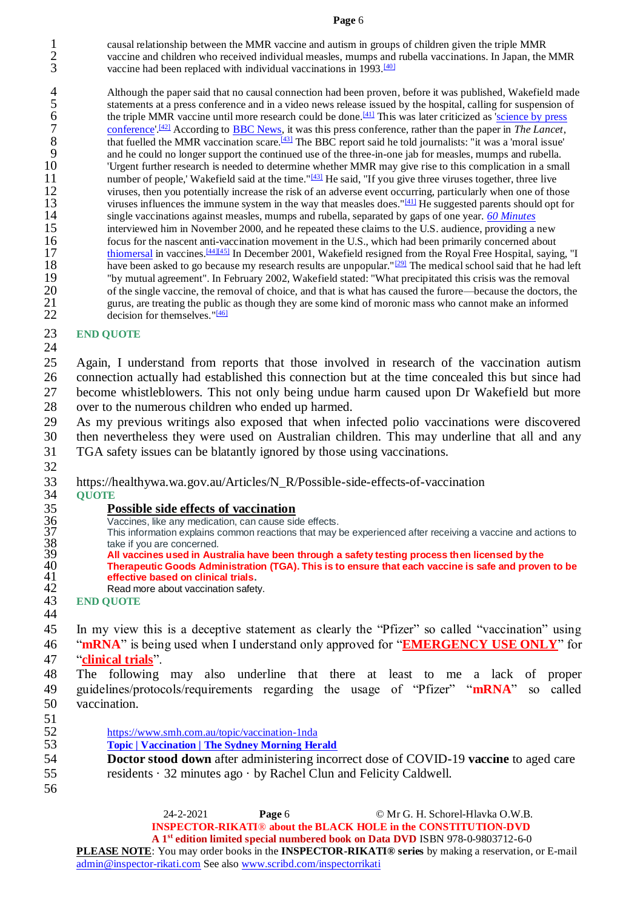1 causal relationship between the MMR vaccine and autism in groups of children given the triple MMR<br>2 vaccine and children who received individual measles, mumps and rubella vaccinations. In Japan, the 2 vaccine and children who received individual measles, mumps and rubella vaccinations. In Japan, the MMR<br>3 vaccine had been replaced with individual vaccinations in 1993.<sup>[40]</sup> vaccine had been replaced with individual vaccinations in  $1993 \cdot \frac{[40]}{3}$  $1993 \cdot \frac{[40]}{3}$  $1993 \cdot \frac{[40]}{3}$ 

4 Although the paper said that no causal connection had been proven, before it was published, Wakefield made<br>5 statements at a press conference and in a video news release issued by the hospital, calling for suspension of 5 statements at a press conference and in a video news release issued by the hospital, calling for suspension of the triple MMR vaccine until more research could be done.<sup>[41]</sup> This was later criticized as 'science by pre the triple MMR vaccine until more research could be done.<sup>[\[41\]](https://en.wikipedia.org/wiki/Andrew_Wakefield#cite_note-DeerInterview-41)</sup> This was later criticized as 'science by press<br>
conference'.<sup>[42]</sup> According to BBC News, it was this press conference, rather than the paper in *The Lancet* 7 conference'<sup>[\[42\]](https://en.wikipedia.org/wiki/Andrew_Wakefield#cite_note-EMBOreports-42)</sup> According to **BBC News**, it was this press conference, rather than the paper in *The Lancet*, that fuelled the MMR vaccination scare.<sup>[\[43\]](https://en.wikipedia.org/wiki/Andrew_Wakefield#cite_note-BBCMoral-43)</sup> The BBC report said he told journalists: "it was a 'moral issue'<br>and he could no longer support the continued use of the three-in-one jab for measles, mumps and rubella. 9 and he could no longer support the continued use of the three-in-one jab for measles, mumps and rubella.<br>10 Terms in a small of the three search is needed to determine whether MMR may give rise to this complication in a 10 'Urgent further research is needed to determine whether MMR may give rise to this complication in a small 11 number of people,' Wakefield said at the time." $\frac{1431}{4}$  He said, "If you give three viruses together, three live 12 viruses, then you potentially increase the risk of an adverse event occurring, particularly when one of those 13 viruses influences the immune system in the way that measles does."<sup>[\[41\]](https://en.wikipedia.org/wiki/Andrew_Wakefield#cite_note-DeerInterview-41)</sup> He suggested parents should opt for 14 single vaccinations against measles, mumps and rubella, separated by gaps of one year. *[60 Minutes](https://en.wikipedia.org/wiki/60_Minutes)* 15 interviewed him in November 2000, and he repeated these claims to the U.S. audience, providing a new<br>16 focus for the nascent anti-vaccination movement in the U.S., which had been primarily concerned about 16 focus for the nascent anti-vaccination movement in the U.S., which had been primarily concerned about thiomersal in vaccines. [44][45] In December 2001, Wakefield resigned from the Royal Free Hospital, sayin [thiomersal](https://en.wikipedia.org/wiki/Thiomersal) in vaccines.<sup>[\[44\]\[45\]](https://en.wikipedia.org/wiki/Andrew_Wakefield#cite_note-44)</sup> In December 2001, Wakefield resigned from the Royal Free Hospital, saying, "I<br>18 have been asked to go because my research results are unpopular."<sup>[29]</sup> The medical school said that he had have been asked to go because my research results are unpopular."<sup>[\[29\]](https://en.wikipedia.org/wiki/Andrew_Wakefield#cite_note-unpopular-29)</sup> The medical school said that he had left<br>19 The medical school said that he had left<br>19 The medical school said that he had left 19 "by mutual agreement". In February 2002, Wakefield stated: "What precipitated this crisis was the removal 20 of the single vaccine, the removal of choice, and that is what has caused the furore—because the doctors, the<br>21 surfus are treating the public as though they are some kind of moronic mass who cannot make an informed 21 gurus, are treating the public as though they are some kind of moronic mass who cannot make an informed decision for themselves.  $\frac{n!461}{22}$ decision for themselves.  $\frac{146}{2}$ 

# 23 **END QUOTE**

- 24 25 Again, I understand from reports that those involved in research of the vaccination autism 26 connection actually had established this connection but at the time concealed this but since had 27 become whistleblowers. This not only being undue harm caused upon Dr Wakefield but more 28 over to the numerous children who ended up harmed.
- 29 As my previous writings also exposed that when infected polio vaccinations were discovered 30 then nevertheless they were used on Australian children. This may underline that all and any 31 TGA safety issues can be blatantly ignored by those using vaccinations. 32
- 33 [https://healthywa.wa.gov.au/Articles/N\\_R/Possible-side-effects-of-vaccination](https://healthywa.wa.gov.au/Articles/N_R/Possible-side-effects-of-vaccination)
- 34 **QUOTE**

- Vaccines, like any medication, can cause side effects.
- 35 **Possible side effects of vaccination**<br>36 Vaccines, like any medication, can cause side<br>37 This information explains common reactions<br>38 take if you are concerned.<br>39 **All vaccines used in Australia have been** This information explains common reactions that may be experienced after receiving a vaccine and actions to take if you are concerned.
- 39 **All vaccines used in Australia have been through a safety testing process then licensed by the**  40 **Therapeutic Goods Administration (TGA). This is to ensure that each vaccine is safe and proven to be**  41 **effective based on clinical trials.**
- 42 [Read more about vaccination safety.](https://healthywa.wa.gov.au/Articles/U_Z/Vaccination-safety)<br>43 END OUOTE
- 43 **END QUOTE** 44

45 In my view this is a deceptive statement as clearly the "Pfizer" so called "vaccination" using 46 "**mRNA**" is being used when I understand only approved for "**EMERGENCY USE ONLY**" for 47 "**clinical trials**".

48 The following may also underline that there at least to me a lack of proper 49 guidelines/protocols/requirements regarding the usage of "Pfizer" "**mRNA**" so called 50 vaccination.

- 
- $\frac{51}{52}$ 52 https://www.smh.com.au/topic/vaccination-1nda<br>53 **https://www.smh.com.au/topic/vaccination-1nda** 
	- 53 **[Topic | Vaccination | The Sydney Morning Herald](https://www.smh.com.au/topic/vaccination-1nda)**
- 54 **Doctor stood down** after administering incorrect dose of COVID-19 **vaccine** to aged care 55 residents  $\cdot$  32 minutes ago  $\cdot$  by Rachel Clun and Felicity Caldwell.
- 56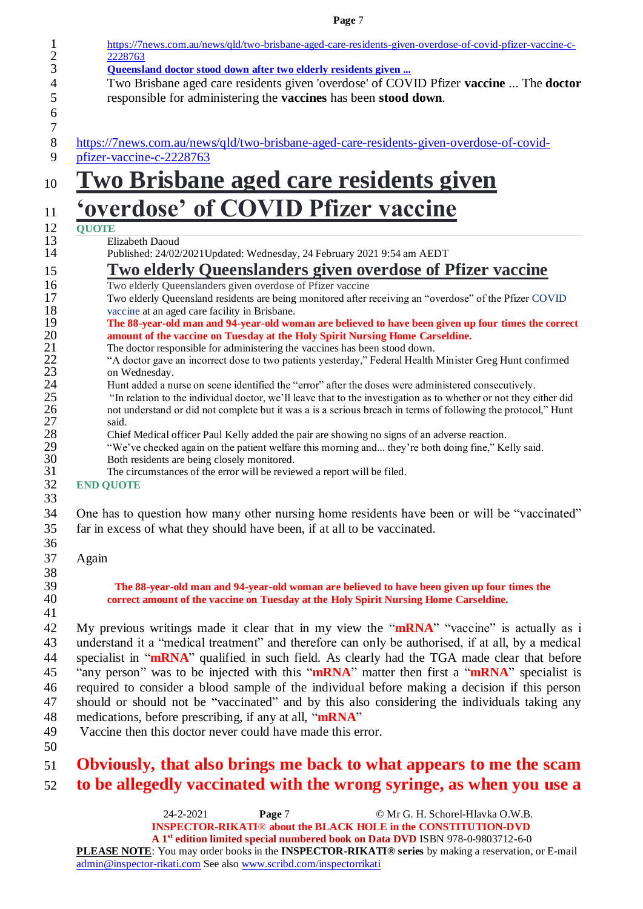| https://7news.com.au/news/qld/two-brisbane-aged-care-residents-given-overdose-of-covid-pfizer-vaccine-c-                                                                               |
|----------------------------------------------------------------------------------------------------------------------------------------------------------------------------------------|
| 2228763                                                                                                                                                                                |
| Queensland doctor stood down after two elderly residents given<br>Two Brisbane aged care residents given 'overdose' of COVID Pfizer vaccine  The doctor                                |
| responsible for administering the vaccines has been stood down.                                                                                                                        |
|                                                                                                                                                                                        |
| https://7news.com.au/news/qld/two-brisbane-aged-care-residents-given-overdose-of-covid-                                                                                                |
| pfizer-vaccine-c-2228763                                                                                                                                                               |
| <u>Two Brisbane aged care residents given</u>                                                                                                                                          |
| 'overdose' of COVID Pfizer vaccine                                                                                                                                                     |
| <b>QUOTE</b>                                                                                                                                                                           |
| Elizabeth Daoud                                                                                                                                                                        |
| Published: 24/02/2021 Updated: Wednesday, 24 February 2021 9:54 am AEDT                                                                                                                |
| <u>Two elderly Queenslanders given overdose of Pfizer vaccine</u>                                                                                                                      |
| Two elderly Queenslanders given overdose of Pfizer vaccine<br>Two elderly Queensland residents are being monitored after receiving an "overdose" of the Pfizer COVID                   |
| vaccine at an aged care facility in Brisbane.                                                                                                                                          |
| The 88-year-old man and 94-year-old woman are believed to have been given up four times the correct<br>amount of the vaccine on Tuesday at the Holy Spirit Nursing Home Carseldine.    |
| The doctor responsible for administering the vaccines has been stood down.<br>"A doctor gave an incorrect dose to two patients yesterday," Federal Health Minister Greg Hunt confirmed |
| on Wednesday.                                                                                                                                                                          |
| Hunt added a nurse on scene identified the "error" after the doses were administered consecutively.                                                                                    |
| "In relation to the individual doctor, we'll leave that to the investigation as to whether or not they either did                                                                      |
| not understand or did not complete but it was a is a serious breach in terms of following the protocol," Hunt<br>said.                                                                 |
| Chief Medical officer Paul Kelly added the pair are showing no signs of an adverse reaction.                                                                                           |
| "We've checked again on the patient welfare this morning and they're both doing fine," Kelly said.                                                                                     |
| Both residents are being closely monitored.                                                                                                                                            |
| The circumstances of the error will be reviewed a report will be filed.<br><b>END QUOTE</b>                                                                                            |
|                                                                                                                                                                                        |
| One has to question how many other nursing home residents have been or will be "vaccinated"                                                                                            |
| far in excess of what they should have been, if at all to be vaccinated.                                                                                                               |
|                                                                                                                                                                                        |
| Again                                                                                                                                                                                  |
|                                                                                                                                                                                        |
| The 88-year-old man and 94-year-old woman are believed to have been given up four times the                                                                                            |
| correct amount of the vaccine on Tuesday at the Holy Spirit Nursing Home Carseldine.                                                                                                   |
|                                                                                                                                                                                        |
| My previous writings made it clear that in my view the "mRNA" "vaccine" is actually as i                                                                                               |
| understand it a "medical treatment" and therefore can only be authorised, if at all, by a medical                                                                                      |
| specialist in "mRNA" qualified in such field. As clearly had the TGA made clear that before                                                                                            |
| "any person" was to be injected with this "mRNA" matter then first a "mRNA" specialist is                                                                                              |
| required to consider a blood sample of the individual before making a decision if this person                                                                                          |
| should or should not be "vaccinated" and by this also considering the individuals taking any                                                                                           |
| medications, before prescribing, if any at all, "mRNA"                                                                                                                                 |
| Vaccine then this doctor never could have made this error.                                                                                                                             |
|                                                                                                                                                                                        |
| Obviously, that also brings me back to what appears to me the scam                                                                                                                     |
| to be allegedly vaccinated with the wrong syringe, as when you use a                                                                                                                   |
| Page 7<br>© Mr G. H. Schorel-Hlavka O.W.B.<br>24-2-2021                                                                                                                                |
|                                                                                                                                                                                        |